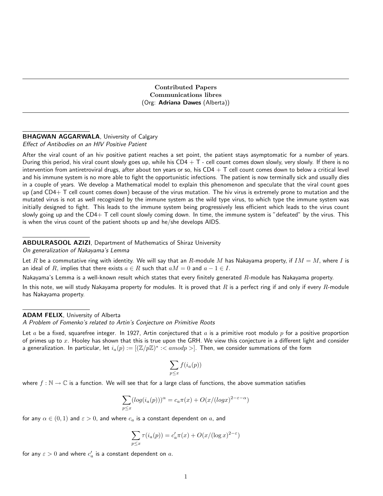Contributed Papers Communications libres (Org: Adriana Dawes (Alberta))

#### BHAGWAN AGGARWALA, University of Calgary Effect of Antibodies on an HIV Positive Patient

After the viral count of an hiv positive patient reaches a set point, the patient stays asymptomatic for a number of years. During this period, his viral count slowly goes up, while his  $CD4 + T$  - cell count comes down slowly, very slowly. If there is no intervention from antiretroviral drugs, after about ten years or so, his  $CD4 + T$  cell count comes down to below a critical level and his immune system is no more able to fight the opportunistic infections. The patient is now terminally sick and usually dies in a couple of years. We develop a Mathematical model to explain this phenomenon and speculate that the viral count goes up (and  $CD4+T$  cell count comes down) because of the virus mutation. The hiv virus is extremely prone to mutation and the mutated virus is not as well recognized by the immune system as the wild type virus, to which type the immune system was initially designed to fight. This leads to the immune system being progressively less efficient which leads to the virus count slowly going up and the  $CD4+T$  cell count slowly coming down. In time, the immune system is "defeated" by the virus. This is when the virus count of the patient shoots up and he/she develops AIDS.

# ABDULRASOOL AZIZI, Department of Mathematics of Shiraz University

On generalization of Nakayama's Lemma

Let R be a commutative ring with identity. We will say that an R-module M has Nakayama property, if  $IM = M$ , where I is an ideal of R, implies that there exists  $a \in R$  such that  $aM = 0$  and  $a - 1 \in I$ .

Nakayama's Lemma is a well-known result which states that every finitely generated  $R$ -module has Nakayama property.

In this note, we will study Nakayama property for modules. It is proved that  $R$  is a perfect ring if and only if every  $R$ -module has Nakayama property.

### ADAM FELIX, University of Alberta

A Problem of Fomenko's related to Artin's Conjecture on Primitive Roots

Let a be a fixed, squarefree integer. In 1927, Artin conjectured that a is a primitive root modulo  $p$  for a positive proportion of primes up to  $x$ . Hooley has shown that this is true upon the GRH. We view this conjecture in a different light and consider a generalization. In particular, let  $i_a(p):=[(\mathbb{Z}/p\mathbb{Z})^*:$  Then, we consider summations of the form

$$
\sum_{p \le x} f(i_a(p))
$$

where  $f : \mathbb{N} \to \mathbb{C}$  is a function. We will see that for a large class of functions, the above summation satisfies

$$
\sum_{p\leq x} (\log(i_a(p)))^{\alpha} = c_a \pi(x) + O(x/(\log x)^{2-\varepsilon-\alpha})
$$

for any  $\alpha \in (0,1)$  and  $\varepsilon > 0$ , and where  $c_a$  is a constant dependent on a, and

$$
\sum_{p \le x} \tau(i_a(p)) = c'_a \pi(x) + O(x/(\log x)^{2-\varepsilon})
$$

for any  $\varepsilon>0$  and where  $c'_a$  is a constant dependent on  $a.$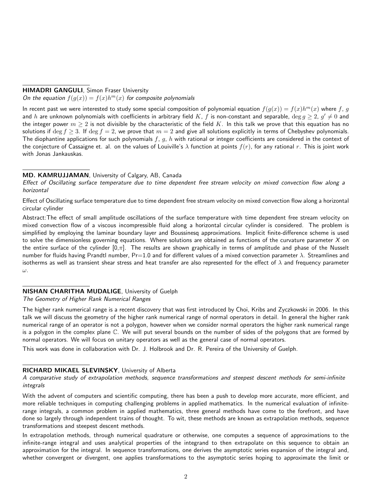## HIMADRI GANGULI, Simon Fraser University

On the equation  $f(g(x)) = f(x)h^m(x)$  for composite polynomials

In recent past we were interested to study some special composition of polynomial equation  $f(g(x)) = f(x)h^m(x)$  where f, g and  $h$  are unknown polynomials with coefficients in arbitrary field  $K,~f$  is non-constant and separable,  $\deg g\geq 2,~g'\neq 0$  and the integer power  $m \ge 2$  is not divisible by the characteristic of the field K. In this talk we prove that this equation has no solutions if deg  $f \ge 3$ . If deg  $f = 2$ , we prove that  $m = 2$  and give all solutions explicitly in terms of Chebyshev polynomials. The diophantine applications for such polynomials  $f$ ,  $g$ ,  $h$  with rational or integer coefficients are considered in the context of the conjecture of Cassaigne et. al. on the values of Louiville's  $\lambda$  function at points  $f(r)$ , for any rational r. This is joint work with Jonas Jankauskas.

### MD. KAMRUJJAMAN, University of Calgary, AB, Canada

Effect of Oscillating surface temperature due to time dependent free stream velocity on mixed convection flow along a horizontal

Effect of Oscillating surface temperature due to time dependent free stream velocity on mixed convection flow along a horizontal circular cylinder

Abstract:The effect of small amplitude oscillations of the surface temperature with time dependent free stream velocity on mixed convection flow of a viscous incompressible fluid along a horizontal circular cylinder is considered. The problem is simplified by employing the laminar boundary layer and Boussinesq approximations. Implicit finite-difference scheme is used to solve the dimensionless governing equations. Where solutions are obtained as functions of the curvature parameter  $X$  on the entire surface of the cylinder  $[0,\pi]$ . The results are shown graphically in terms of amplitude and phase of the Nusselt number for fluids having Prandtl number, Pr=1.0 and for different values of a mixed convection parameter  $\lambda$ . Streamlines and isotherms as well as transient shear stress and heat transfer are also represented for the effect of  $\lambda$  and frequency parameter ω.

# NISHAN CHARITHA MUDALIGE, University of Guelph

### The Geometry of Higher Rank Numerical Ranges

The higher rank numerical range is a recent discovery that was first introduced by Choi, Kribs and Zyczkowski in 2006. In this talk we will discuss the geometry of the higher rank numerical range of normal operators in detail. In general the higher rank numerical range of an operator is not a polygon, however when we consider normal operators the higher rank numerical range is a polygon in the complex plane C. We will put several bounds on the number of sides of the polygons that are formed by normal operators. We will focus on unitary operators as well as the general case of normal operators.

This work was done in collaboration with Dr. J. Holbrook and Dr. R. Pereira of the University of Guelph.

# RICHARD MIKAEL SLEVINSKY, University of Alberta

A comparative study of extrapolation methods, sequence transformations and steepest descent methods for semi-infinite integrals

With the advent of computers and scientific computing, there has been a push to develop more accurate, more efficient, and more reliable techniques in computing challenging problems in applied mathematics. In the numerical evaluation of infiniterange integrals, a common problem in applied mathematics, three general methods have come to the forefront, and have done so largely through independent trains of thought. To wit, these methods are known as extrapolation methods, sequence transformations and steepest descent methods.

In extrapolation methods, through numerical quadrature or otherwise, one computes a sequence of approximations to the infinite-range integral and uses analytical properties of the integrand to then extrapolate on this sequence to obtain an approximation for the integral. In sequence transformations, one derives the asymptotic series expansion of the integral and, whether convergent or divergent, one applies transformations to the asymptotic series hoping to approximate the limit or